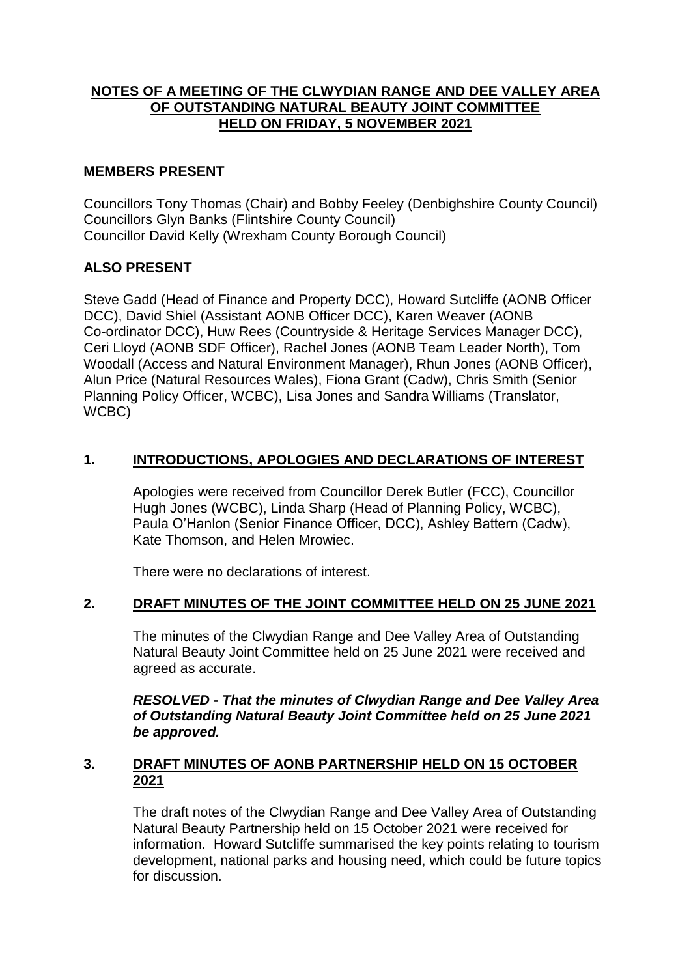# **NOTES OF A MEETING OF THE CLWYDIAN RANGE AND DEE VALLEY AREA OF OUTSTANDING NATURAL BEAUTY JOINT COMMITTEE HELD ON FRIDAY, 5 NOVEMBER 2021**

# **MEMBERS PRESENT**

Councillors Tony Thomas (Chair) and Bobby Feeley (Denbighshire County Council) Councillors Glyn Banks (Flintshire County Council) Councillor David Kelly (Wrexham County Borough Council)

# **ALSO PRESENT**

Steve Gadd (Head of Finance and Property DCC), Howard Sutcliffe (AONB Officer DCC), David Shiel (Assistant AONB Officer DCC), Karen Weaver (AONB Co-ordinator DCC), Huw Rees (Countryside & Heritage Services Manager DCC), Ceri Lloyd (AONB SDF Officer), Rachel Jones (AONB Team Leader North), Tom Woodall (Access and Natural Environment Manager), Rhun Jones (AONB Officer), Alun Price (Natural Resources Wales), Fiona Grant (Cadw), Chris Smith (Senior Planning Policy Officer, WCBC), Lisa Jones and Sandra Williams (Translator, WCBC)

# **1. INTRODUCTIONS, APOLOGIES AND DECLARATIONS OF INTEREST**

Apologies were received from Councillor Derek Butler (FCC), Councillor Hugh Jones (WCBC), Linda Sharp (Head of Planning Policy, WCBC), Paula O'Hanlon (Senior Finance Officer, DCC), Ashley Battern (Cadw), Kate Thomson, and Helen Mrowiec.

There were no declarations of interest.

# **2. DRAFT MINUTES OF THE JOINT COMMITTEE HELD ON 25 JUNE 2021**

The minutes of the Clwydian Range and Dee Valley Area of Outstanding Natural Beauty Joint Committee held on 25 June 2021 were received and agreed as accurate.

*RESOLVED - That the minutes of Clwydian Range and Dee Valley Area of Outstanding Natural Beauty Joint Committee held on 25 June 2021 be approved.*

## **3. DRAFT MINUTES OF AONB PARTNERSHIP HELD ON 15 OCTOBER 2021**

The draft notes of the Clwydian Range and Dee Valley Area of Outstanding Natural Beauty Partnership held on 15 October 2021 were received for information. Howard Sutcliffe summarised the key points relating to tourism development, national parks and housing need, which could be future topics for discussion.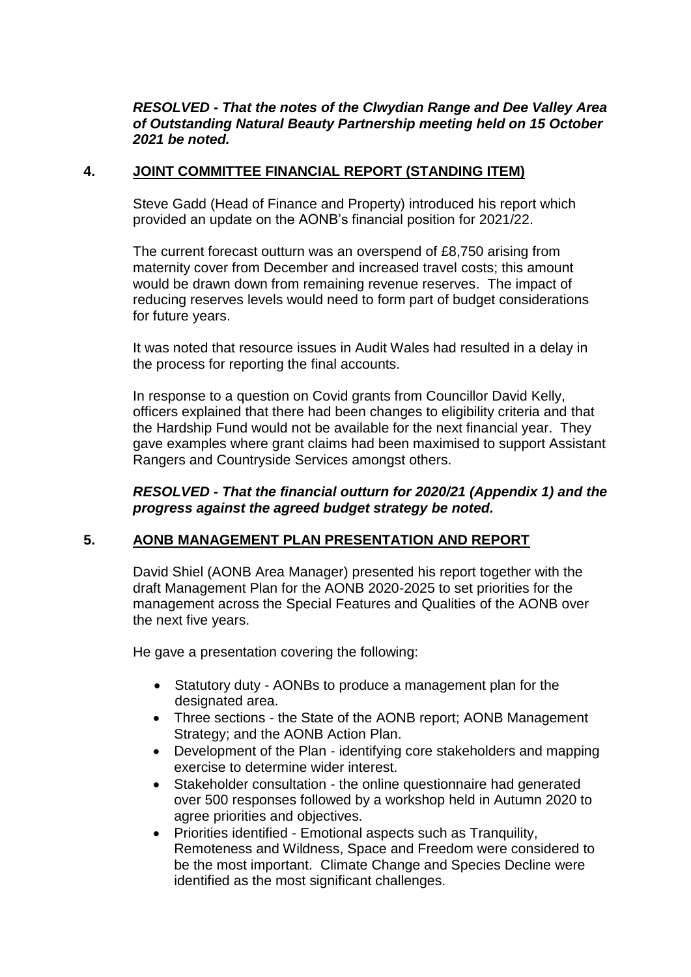## *RESOLVED - That the notes of the Clwydian Range and Dee Valley Area of Outstanding Natural Beauty Partnership meeting held on 15 October 2021 be noted.*

## **4. JOINT COMMITTEE FINANCIAL REPORT (STANDING ITEM)**

Steve Gadd (Head of Finance and Property) introduced his report which provided an update on the AONB's financial position for 2021/22.

The current forecast outturn was an overspend of £8,750 arising from maternity cover from December and increased travel costs; this amount would be drawn down from remaining revenue reserves. The impact of reducing reserves levels would need to form part of budget considerations for future years.

It was noted that resource issues in Audit Wales had resulted in a delay in the process for reporting the final accounts.

In response to a question on Covid grants from Councillor David Kelly, officers explained that there had been changes to eligibility criteria and that the Hardship Fund would not be available for the next financial year. They gave examples where grant claims had been maximised to support Assistant Rangers and Countryside Services amongst others.

*RESOLVED - That the financial outturn for 2020/21 (Appendix 1) and the progress against the agreed budget strategy be noted.*

## **5. AONB MANAGEMENT PLAN PRESENTATION AND REPORT**

David Shiel (AONB Area Manager) presented his report together with the draft Management Plan for the AONB 2020-2025 to set priorities for the management across the Special Features and Qualities of the AONB over the next five years.

He gave a presentation covering the following:

- Statutory duty AONBs to produce a management plan for the designated area.
- Three sections the State of the AONB report; AONB Management Strategy; and the AONB Action Plan.
- Development of the Plan identifying core stakeholders and mapping exercise to determine wider interest.
- Stakeholder consultation the online questionnaire had generated over 500 responses followed by a workshop held in Autumn 2020 to agree priorities and objectives.
- Priorities identified Emotional aspects such as Tranquility, Remoteness and Wildness, Space and Freedom were considered to be the most important. Climate Change and Species Decline were identified as the most significant challenges.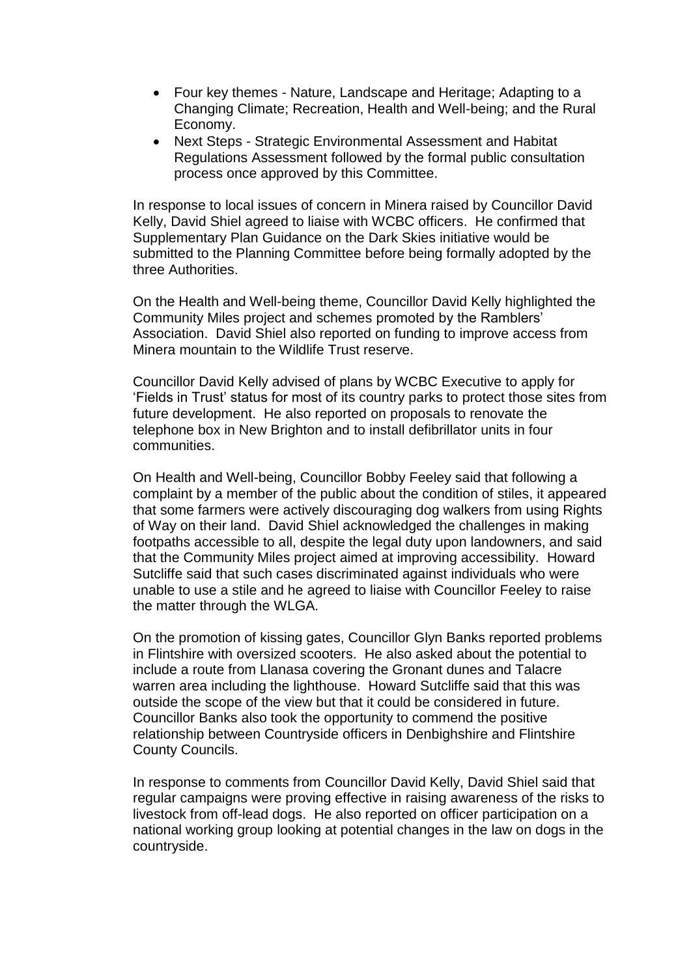- Four key themes Nature, Landscape and Heritage; Adapting to a Changing Climate; Recreation, Health and Well-being; and the Rural Economy.
- Next Steps Strategic Environmental Assessment and Habitat Regulations Assessment followed by the formal public consultation process once approved by this Committee.

In response to local issues of concern in Minera raised by Councillor David Kelly, David Shiel agreed to liaise with WCBC officers. He confirmed that Supplementary Plan Guidance on the Dark Skies initiative would be submitted to the Planning Committee before being formally adopted by the three Authorities.

On the Health and Well-being theme, Councillor David Kelly highlighted the Community Miles project and schemes promoted by the Ramblers' Association. David Shiel also reported on funding to improve access from Minera mountain to the Wildlife Trust reserve.

Councillor David Kelly advised of plans by WCBC Executive to apply for 'Fields in Trust' status for most of its country parks to protect those sites from future development. He also reported on proposals to renovate the telephone box in New Brighton and to install defibrillator units in four communities.

On Health and Well-being, Councillor Bobby Feeley said that following a complaint by a member of the public about the condition of stiles, it appeared that some farmers were actively discouraging dog walkers from using Rights of Way on their land. David Shiel acknowledged the challenges in making footpaths accessible to all, despite the legal duty upon landowners, and said that the Community Miles project aimed at improving accessibility. Howard Sutcliffe said that such cases discriminated against individuals who were unable to use a stile and he agreed to liaise with Councillor Feeley to raise the matter through the WLGA.

On the promotion of kissing gates, Councillor Glyn Banks reported problems in Flintshire with oversized scooters. He also asked about the potential to include a route from Llanasa covering the Gronant dunes and Talacre warren area including the lighthouse. Howard Sutcliffe said that this was outside the scope of the view but that it could be considered in future. Councillor Banks also took the opportunity to commend the positive relationship between Countryside officers in Denbighshire and Flintshire County Councils.

In response to comments from Councillor David Kelly, David Shiel said that regular campaigns were proving effective in raising awareness of the risks to livestock from off-lead dogs. He also reported on officer participation on a national working group looking at potential changes in the law on dogs in the countryside.